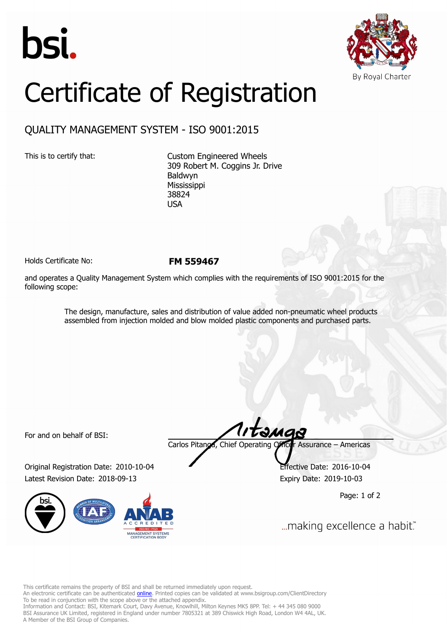



## Certificate of Registration

## QUALITY MANAGEMENT SYSTEM - ISO 9001:2015

This is to certify that: Custom Engineered Wheels 309 Robert M. Coggins Jr. Drive Baldwyn Mississippi 38824 USA

Holds Certificate No: **FM 559467**

and operates a Quality Management System which complies with the requirements of ISO 9001:2015 for the following scope:

> The design, manufacture, sales and distribution of value added non-pneumatic wheel products assembled from injection molded and blow molded plastic components and purchased parts.

For and on behalf of BSI:

Original Registration Date: 2010-10-04 Effective Date: 2016-10-04 Latest Revision Date: 2018-09-13 Expiry Date: 2019-10-03



tangs Carlos Pitanga, Chief Operating Officer Assurance – Americas

Page: 1 of 2

... making excellence a habit."

This certificate remains the property of BSI and shall be returned immediately upon request.

An electronic certificate can be authenticated *[online](https://pgplus.bsigroup.com/CertificateValidation/CertificateValidator.aspx?CertificateNumber=FM+559467&ReIssueDate=13%2f09%2f2018&Template=inc)*. Printed copies can be validated at www.bsigroup.com/ClientDirectory To be read in conjunction with the scope above or the attached appendix.

Information and Contact: BSI, Kitemark Court, Davy Avenue, Knowlhill, Milton Keynes MK5 8PP. Tel: + 44 345 080 9000 BSI Assurance UK Limited, registered in England under number 7805321 at 389 Chiswick High Road, London W4 4AL, UK. A Member of the BSI Group of Companies.